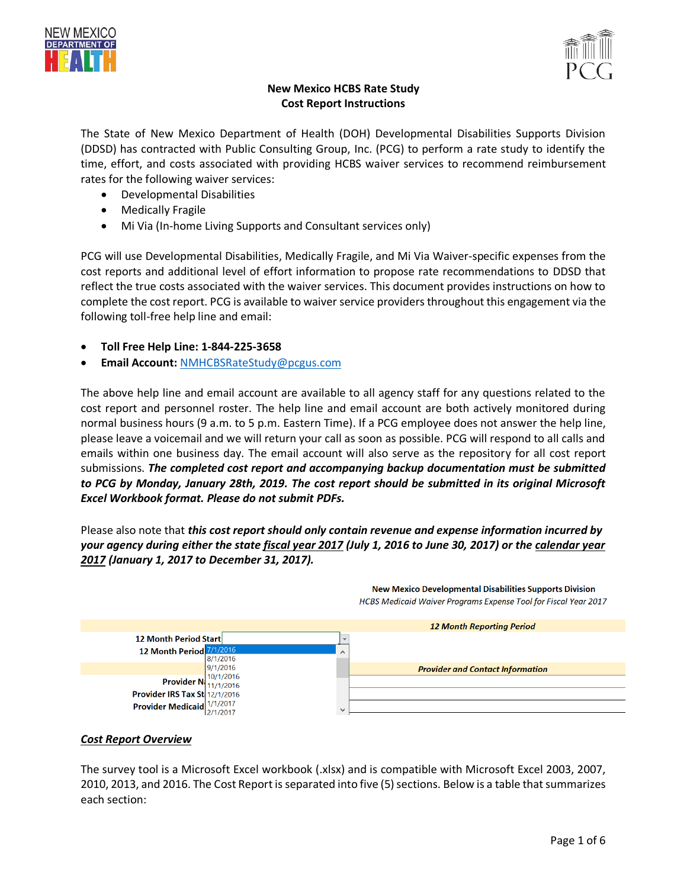



# **New Mexico HCBS Rate Study Cost Report Instructions**

The State of New Mexico Department of Health (DOH) Developmental Disabilities Supports Division (DDSD) has contracted with Public Consulting Group, Inc. (PCG) to perform a rate study to identify the time, effort, and costs associated with providing HCBS waiver services to recommend reimbursement rates for the following waiver services:

- Developmental Disabilities
- Medically Fragile
- Mi Via (In-home Living Supports and Consultant services only)

PCG will use Developmental Disabilities, Medically Fragile, and Mi Via Waiver-specific expenses from the cost reports and additional level of effort information to propose rate recommendations to DDSD that reflect the true costs associated with the waiver services. This document provides instructions on how to complete the cost report. PCG is available to waiver service providers throughout this engagement via the following toll-free help line and email:

- **Toll Free Help Line: 1-844-225-3658**
- **Email Account:** [NMHCBSRateStudy@pcgus.com](mailto:NMHCBSRateStudy@pcgus.com)

The above help line and email account are available to all agency staff for any questions related to the cost report and personnel roster. The help line and email account are both actively monitored during normal business hours (9 a.m. to 5 p.m. Eastern Time). If a PCG employee does not answer the help line, please leave a voicemail and we will return your call as soon as possible. PCG will respond to all calls and emails within one business day. The email account will also serve as the repository for all cost report submissions. *The completed cost report and accompanying backup documentation must be submitted to PCG by Monday, January 28th, 2019. The cost report should be submitted in its original Microsoft Excel Workbook format. Please do not submit PDFs.*

Please also note that *this cost report should only contain revenue and expense information incurred by your agency during either the state fiscal year 2017 (July 1, 2016 to June 30, 2017) or the calendar year 2017 (January 1, 2017 to December 31, 2017).*



**New Mexico Developmental Disabilities Supports Division** HCBS Medicaid Waiver Programs Expense Tool for Fiscal Year 2017

# *Cost Report Overview*

The survey tool is a Microsoft Excel workbook (.xlsx) and is compatible with Microsoft Excel 2003, 2007, 2010, 2013, and 2016. The Cost Report is separated into five (5) sections. Below is a table that summarizes each section: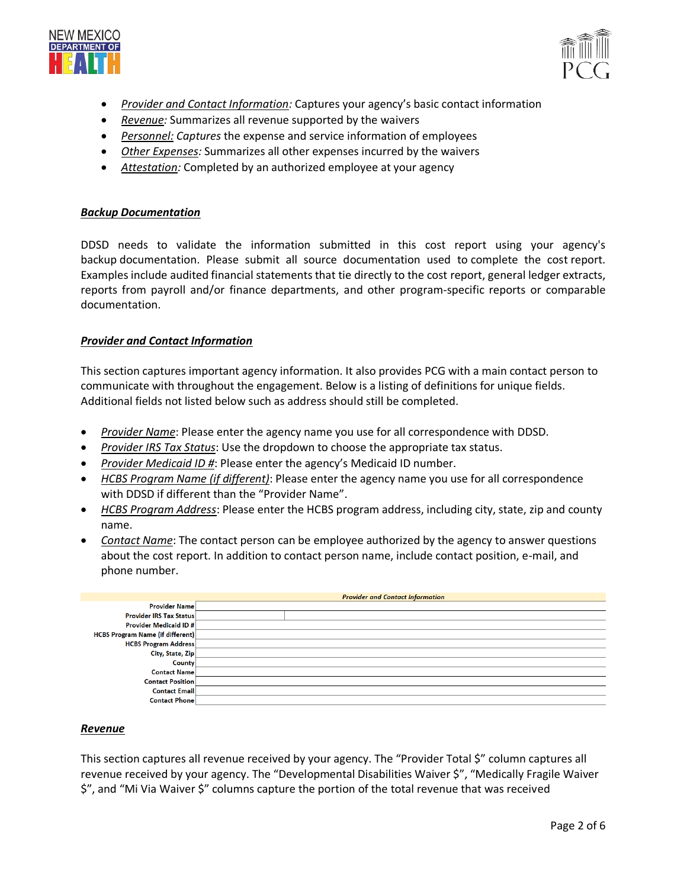



- *Provider and Contact Information:* Captures your agency's basic contact information
- *Revenue:* Summarizes all revenue supported by the waivers
- *Personnel: Captures* the expense and service information of employees
- *Other Expenses:* Summarizes all other expenses incurred by the waivers
- *Attestation:* Completed by an authorized employee at your agency

# *Backup Documentation*

DDSD needs to validate the information submitted in this cost report using your agency's backup documentation. Please submit all source documentation used to complete the cost report. Examples include audited financial statements that tie directly to the cost report, general ledger extracts, reports from payroll and/or finance departments, and other program-specific reports or comparable documentation.

# *Provider and Contact Information*

This section captures important agency information. It also provides PCG with a main contact person to communicate with throughout the engagement. Below is a listing of definitions for unique fields. Additional fields not listed below such as address should still be completed.

- *Provider Name*: Please enter the agency name you use for all correspondence with DDSD.
- *Provider IRS Tax Status*: Use the dropdown to choose the appropriate tax status.
- *Provider Medicaid ID #*: Please enter the agency's Medicaid ID number.
- *HCBS Program Name (if different)*: Please enter the agency name you use for all correspondence with DDSD if different than the "Provider Name".
- *HCBS Program Address*: Please enter the HCBS program address, including city, state, zip and county name.
- *Contact Name*: The contact person can be employee authorized by the agency to answer questions about the cost report. In addition to contact person name, include contact position, e-mail, and phone number.

| <b>Provider and Contact Information</b> |  |  |  |  |
|-----------------------------------------|--|--|--|--|
| <b>Provider Name</b>                    |  |  |  |  |
| <b>Provider IRS Tax Status</b>          |  |  |  |  |
| <b>Provider Medicaid ID #</b>           |  |  |  |  |
| <b>HCBS Program Name (if different)</b> |  |  |  |  |
| <b>HCBS Program Address</b>             |  |  |  |  |
| City, State, Zip                        |  |  |  |  |
| <b>County</b>                           |  |  |  |  |
| <b>Contact Name</b>                     |  |  |  |  |
| <b>Contact Position</b>                 |  |  |  |  |
| <b>Contact Email</b>                    |  |  |  |  |
| <b>Contact Phone</b>                    |  |  |  |  |

# *Revenue*

This section captures all revenue received by your agency. The "Provider Total \$" column captures all revenue received by your agency. The "Developmental Disabilities Waiver \$", "Medically Fragile Waiver \$", and "Mi Via Waiver \$" columns capture the portion of the total revenue that was received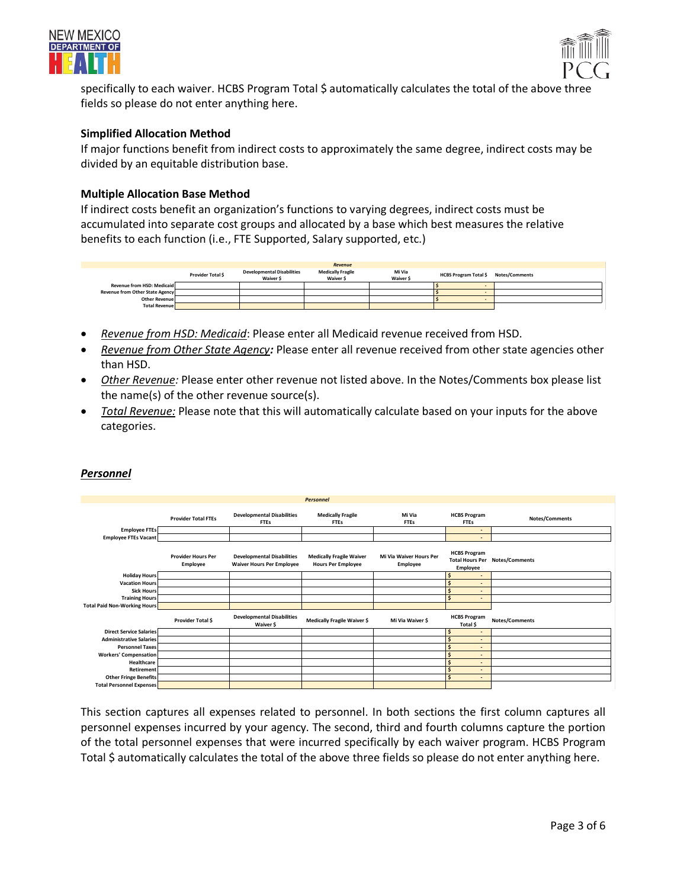



specifically to each waiver. HCBS Program Total \$ automatically calculates the total of the above three fields so please do not enter anything here.

# **Simplified Allocation Method**

If major functions benefit from indirect costs to approximately the same degree, indirect costs may be divided by an equitable distribution base.

# **Multiple Allocation Base Method**

If indirect costs benefit an organization's functions to varying degrees, indirect costs must be accumulated into separate cost groups and allocated by a base which best measures the relative benefits to each function (i.e., FTE Supported, Salary supported, etc.)

|                                   |                         |                                                | Revenue                               |                     |                              |                       |
|-----------------------------------|-------------------------|------------------------------------------------|---------------------------------------|---------------------|------------------------------|-----------------------|
|                                   | <b>Provider Total S</b> | <b>Developmental Disabilities</b><br>Waiver \$ | <b>Medically Fragile</b><br>Waiver \$ | Mi Via<br>Waiver \$ | <b>HCBS Program Total \$</b> | <b>Notes/Comments</b> |
| <b>Revenue from HSD: Medicaid</b> |                         |                                                |                                       |                     |                              |                       |
| Revenue from Other State Agency   |                         |                                                |                                       |                     |                              |                       |
| <b>Other Revenue</b>              |                         |                                                |                                       |                     |                              |                       |
| <b>Total Revenue</b>              |                         |                                                |                                       |                     |                              |                       |

- *Revenue from HSD: Medicaid*: Please enter all Medicaid revenue received from HSD.
- *Revenue from Other State Agency:* Please enter all revenue received from other state agencies other than HSD.
- *Other Revenue:* Please enter other revenue not listed above. In the Notes/Comments box please list the name(s) of the other revenue source(s).
- *Total Revenue:* Please note that this will automatically calculate based on your inputs for the above categories.

|                                     |                                       |                                                                       | <b>Personnel</b>                                             |                                     |                                    |                                       |
|-------------------------------------|---------------------------------------|-----------------------------------------------------------------------|--------------------------------------------------------------|-------------------------------------|------------------------------------|---------------------------------------|
|                                     | <b>Provider Total FTEs</b>            | <b>Developmental Disabilities</b><br><b>FTEs</b>                      | <b>Medically Fragile</b><br><b>FTEs</b>                      | Mi Via<br><b>FTEs</b>               | <b>HCBS Program</b><br><b>FTEs</b> | Notes/Comments                        |
| <b>Employee FTEs</b>                |                                       |                                                                       |                                                              |                                     | $\overline{a}$                     |                                       |
| <b>Employee FTEs Vacant</b>         |                                       |                                                                       |                                                              |                                     | $\overline{\phantom{a}}$           |                                       |
|                                     | <b>Provider Hours Per</b><br>Employee | <b>Developmental Disabilities</b><br><b>Waiver Hours Per Employee</b> | <b>Medically Fragile Waiver</b><br><b>Hours Per Employee</b> | Mi Via Waiver Hours Per<br>Employee | <b>HCBS Program</b><br>Employee    | <b>Total Hours Per Notes/Comments</b> |
| <b>Holiday Hours</b>                |                                       |                                                                       |                                                              |                                     | ٠                                  |                                       |
| <b>Vacation Hours</b>               |                                       |                                                                       |                                                              |                                     | ٠                                  |                                       |
| <b>Sick Hours</b>                   |                                       |                                                                       |                                                              |                                     | ٠                                  |                                       |
| <b>Training Hours</b>               |                                       |                                                                       |                                                              |                                     | $\overline{a}$                     |                                       |
| <b>Total Paid Non-Working Hours</b> |                                       |                                                                       |                                                              |                                     |                                    |                                       |
|                                     | Provider Total \$                     | <b>Developmental Disabilities</b><br>Waiver \$                        | Medically Fragile Waiver \$                                  | Mi Via Waiver \$                    | <b>HCBS Program</b><br>Total \$    | Notes/Comments                        |
| <b>Direct Service Salaries</b>      |                                       |                                                                       |                                                              |                                     | $\mathsf{s}$<br>$\overline{a}$     |                                       |
| <b>Administrative Salaries</b>      |                                       |                                                                       |                                                              |                                     | $\overline{a}$                     |                                       |
| <b>Personnel Taxes</b>              |                                       |                                                                       |                                                              |                                     | $\overline{a}$                     |                                       |
| <b>Workers' Compensation</b>        |                                       |                                                                       |                                                              |                                     | $\overline{a}$                     |                                       |
| Healthcare                          |                                       |                                                                       |                                                              |                                     | $\mathsf{s}$<br>٠                  |                                       |
| <b>Retirement</b>                   |                                       |                                                                       |                                                              |                                     | $\mathsf{s}$<br>٠                  |                                       |
| <b>Other Fringe Benefits</b>        |                                       |                                                                       |                                                              |                                     | \$<br>$\overline{\phantom{a}}$     |                                       |
| <b>Total Personnel Expenses</b>     |                                       |                                                                       |                                                              |                                     |                                    |                                       |

# *Personnel*

This section captures all expenses related to personnel. In both sections the first column captures all personnel expenses incurred by your agency. The second, third and fourth columns capture the portion of the total personnel expenses that were incurred specifically by each waiver program. HCBS Program Total \$ automatically calculates the total of the above three fields so please do not enter anything here.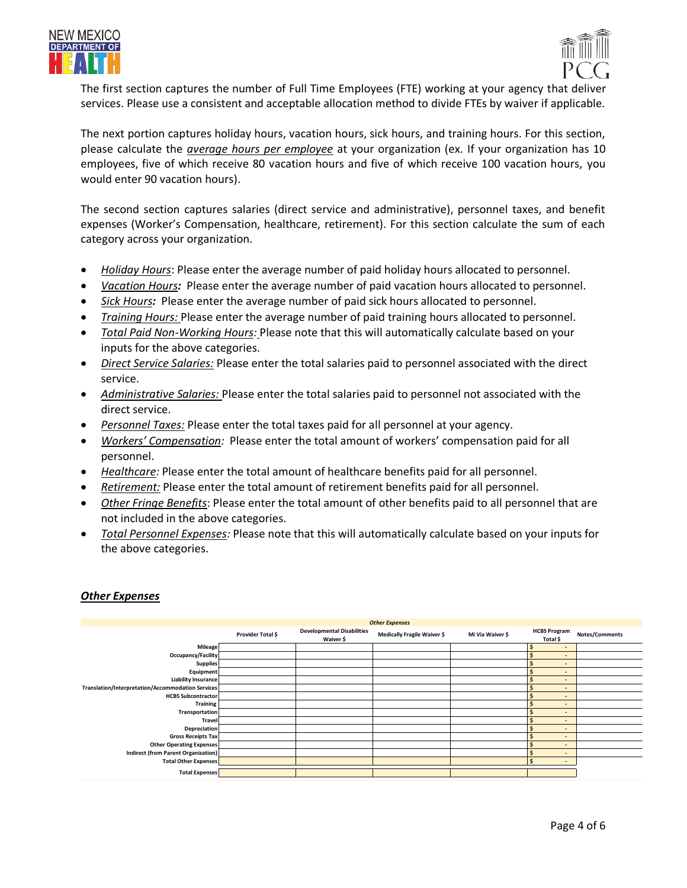



The first section captures the number of Full Time Employees (FTE) working at your agency that deliver services. Please use a consistent and acceptable allocation method to divide FTEs by waiver if applicable.

The next portion captures holiday hours, vacation hours, sick hours, and training hours. For this section, please calculate the *average hours per employee* at your organization (ex. If your organization has 10 employees, five of which receive 80 vacation hours and five of which receive 100 vacation hours, you would enter 90 vacation hours).

The second section captures salaries (direct service and administrative), personnel taxes, and benefit expenses (Worker's Compensation, healthcare, retirement). For this section calculate the sum of each category across your organization.

- *Holiday Hours*: Please enter the average number of paid holiday hours allocated to personnel.
- *Vacation Hours:* Please enter the average number of paid vacation hours allocated to personnel.
- *Sick Hours:* Please enter the average number of paid sick hours allocated to personnel.
- *Training Hours:* Please enter the average number of paid training hours allocated to personnel.
- *Total Paid Non-Working Hours:* Please note that this will automatically calculate based on your inputs for the above categories.
- *Direct Service Salaries:* Please enter the total salaries paid to personnel associated with the direct service.
- *Administrative Salaries:* Please enter the total salaries paid to personnel not associated with the direct service.
- *Personnel Taxes:* Please enter the total taxes paid for all personnel at your agency.
- *Workers' Compensation:* Please enter the total amount of workers' compensation paid for all personnel.
- *Healthcare:* Please enter the total amount of healthcare benefits paid for all personnel.
- *Retirement:* Please enter the total amount of retirement benefits paid for all personnel.
- *Other Fringe Benefits*: Please enter the total amount of other benefits paid to all personnel that are not included in the above categories.
- *Total Personnel Expenses:* Please note that this will automatically calculate based on your inputs for the above categories.

# *Other Expenses*

|                                                   |                   |                                                | <b>Other Expenses</b>       |                  |                                 |                |
|---------------------------------------------------|-------------------|------------------------------------------------|-----------------------------|------------------|---------------------------------|----------------|
|                                                   | Provider Total \$ | <b>Developmental Disabilities</b><br>Waiver \$ | Medically Fragile Waiver \$ | Mi Via Waiver \$ | <b>HCBS Program</b><br>Total \$ | Notes/Comments |
| <b>Mileage</b>                                    |                   |                                                |                             |                  | $\overline{\phantom{a}}$        |                |
| Occupancy/Facility                                |                   |                                                |                             |                  | $\overline{\phantom{0}}$        |                |
| <b>Supplies</b>                                   |                   |                                                |                             |                  | $\overline{\phantom{0}}$        |                |
| Equipment                                         |                   |                                                |                             |                  | $\overline{\phantom{0}}$        |                |
| Liability Insurance                               |                   |                                                |                             |                  | $\overline{\phantom{a}}$        |                |
| Translation/Interpretation/Accommodation Services |                   |                                                |                             |                  | $\overline{\phantom{0}}$        |                |
| <b>HCBS Subcontractor</b>                         |                   |                                                |                             |                  | $\overline{\phantom{0}}$        |                |
| <b>Training</b>                                   |                   |                                                |                             |                  | $\overline{\phantom{0}}$        |                |
| Transportation                                    |                   |                                                |                             |                  | $\overline{\phantom{0}}$        |                |
| Travel                                            |                   |                                                |                             |                  | $\overline{\phantom{a}}$        |                |
| Depreciation                                      |                   |                                                |                             |                  | $\overline{\phantom{0}}$        |                |
| <b>Gross Receipts Tax</b>                         |                   |                                                |                             |                  | $\overline{\phantom{0}}$        |                |
| <b>Other Operating Expenses</b>                   |                   |                                                |                             |                  | $\overline{\phantom{a}}$        |                |
| Indirect (from Parent Organization)               |                   |                                                |                             |                  | $\overline{\phantom{a}}$        |                |
| <b>Total Other Expenses</b>                       |                   |                                                |                             |                  | $\overline{\phantom{0}}$        |                |
| <b>Total Expenses</b>                             |                   |                                                |                             |                  |                                 |                |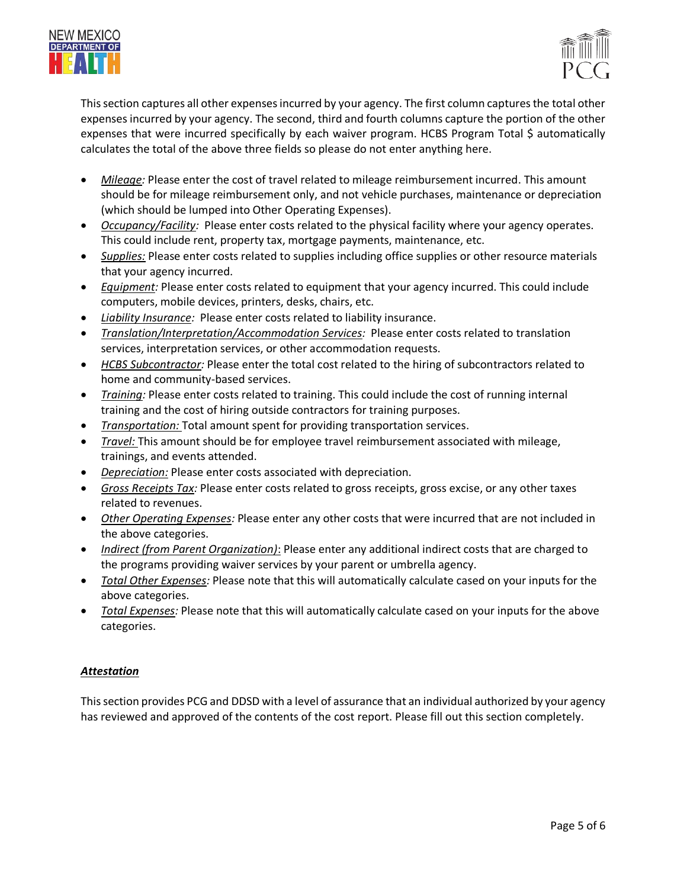



This section captures all other expenses incurred by your agency. The first column captures the total other expenses incurred by your agency. The second, third and fourth columns capture the portion of the other expenses that were incurred specifically by each waiver program. HCBS Program Total \$ automatically calculates the total of the above three fields so please do not enter anything here.

- *Mileage:* Please enter the cost of travel related to mileage reimbursement incurred. This amount should be for mileage reimbursement only, and not vehicle purchases, maintenance or depreciation (which should be lumped into Other Operating Expenses).
- *Occupancy/Facility:* Please enter costs related to the physical facility where your agency operates. This could include rent, property tax, mortgage payments, maintenance, etc.
- *Supplies:* Please enter costs related to supplies including office supplies or other resource materials that your agency incurred.
- *Equipment:* Please enter costs related to equipment that your agency incurred. This could include computers, mobile devices, printers, desks, chairs, etc.
- *Liability Insurance:*Please enter costs related to liability insurance.
- *Translation/Interpretation/Accommodation Services:* Please enter costs related to translation services, interpretation services, or other accommodation requests.
- *HCBS Subcontractor:* Please enter the total cost related to the hiring of subcontractors related to home and community-based services.
- *Training:* Please enter costs related to training. This could include the cost of running internal training and the cost of hiring outside contractors for training purposes.
- *Transportation:* Total amount spent for providing transportation services.
- *Travel:* This amount should be for employee travel reimbursement associated with mileage, trainings, and events attended.
- *Depreciation:* Please enter costs associated with depreciation.
- *Gross Receipts Tax:* Please enter costs related to gross receipts, gross excise, or any other taxes related to revenues.
- *Other Operating Expenses:* Please enter any other costs that were incurred that are not included in the above categories.
- *Indirect (from Parent Organization)*: Please enter any additional indirect costs that are charged to the programs providing waiver services by your parent or umbrella agency.
- *Total Other Expenses:* Please note that this will automatically calculate cased on your inputs for the above categories.
- *Total Expenses:* Please note that this will automatically calculate cased on your inputs for the above categories.

# *Attestation*

This section provides PCG and DDSD with a level of assurance that an individual authorized by your agency has reviewed and approved of the contents of the cost report. Please fill out this section completely.